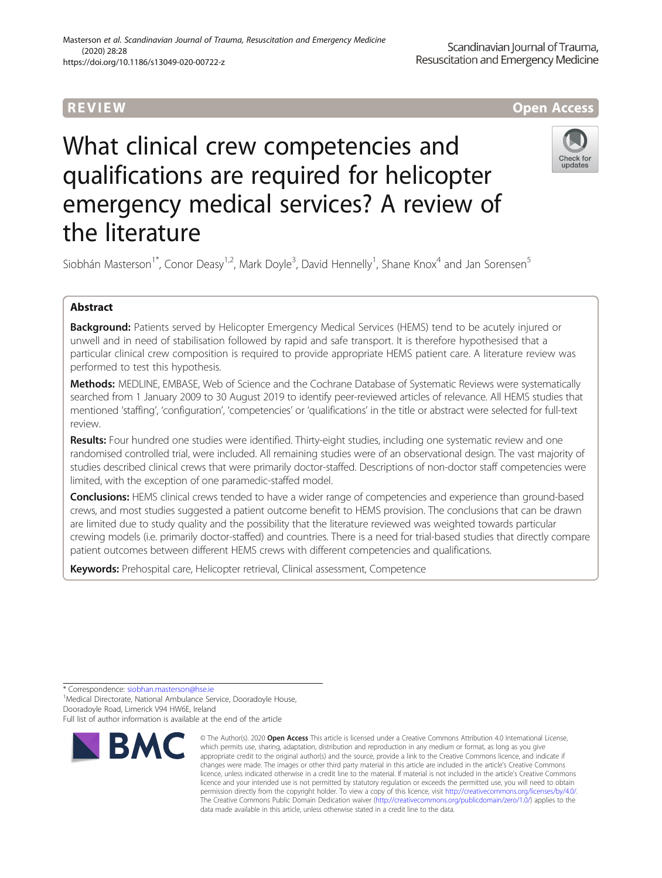## **REVIEW CONSTRUCTION CONTROL**

# What clinical crew competencies and qualifications are required for helicopter emergency medical services? A review of the literature



Siobhán Masterson<sup>1\*</sup>, Conor Deasy<sup>1,2</sup>, Mark Doyle<sup>3</sup>, David Hennelly<sup>1</sup>, Shane Knox<sup>4</sup> and Jan Sorensen<sup>5</sup>

## Abstract

Background: Patients served by Helicopter Emergency Medical Services (HEMS) tend to be acutely injured or unwell and in need of stabilisation followed by rapid and safe transport. It is therefore hypothesised that a particular clinical crew composition is required to provide appropriate HEMS patient care. A literature review was performed to test this hypothesis.

Methods: MEDLINE, EMBASE, Web of Science and the Cochrane Database of Systematic Reviews were systematically searched from 1 January 2009 to 30 August 2019 to identify peer-reviewed articles of relevance. All HEMS studies that mentioned 'staffing', 'configuration', 'competencies' or 'qualifications' in the title or abstract were selected for full-text review.

Results: Four hundred one studies were identified. Thirty-eight studies, including one systematic review and one randomised controlled trial, were included. All remaining studies were of an observational design. The vast majority of studies described clinical crews that were primarily doctor-staffed. Descriptions of non-doctor staff competencies were limited, with the exception of one paramedic-staffed model.

**Conclusions:** HEMS clinical crews tended to have a wider range of competencies and experience than ground-based crews, and most studies suggested a patient outcome benefit to HEMS provision. The conclusions that can be drawn are limited due to study quality and the possibility that the literature reviewed was weighted towards particular crewing models (i.e. primarily doctor-staffed) and countries. There is a need for trial-based studies that directly compare patient outcomes between different HEMS crews with different competencies and qualifications.

Keywords: Prehospital care, Helicopter retrieval, Clinical assessment, Competence

\* Correspondence: [siobhan.masterson@hse.ie](mailto:siobhan.masterson@hse.ie) <sup>1</sup>

<sup>1</sup>Medical Directorate, National Ambulance Service, Dooradoyle House, Dooradoyle Road, Limerick V94 HW6E, Ireland

Full list of author information is available at the end of the article



<sup>©</sup> The Author(s), 2020 **Open Access** This article is licensed under a Creative Commons Attribution 4.0 International License, which permits use, sharing, adaptation, distribution and reproduction in any medium or format, as long as you give appropriate credit to the original author(s) and the source, provide a link to the Creative Commons licence, and indicate if changes were made. The images or other third party material in this article are included in the article's Creative Commons licence, unless indicated otherwise in a credit line to the material. If material is not included in the article's Creative Commons licence and your intended use is not permitted by statutory regulation or exceeds the permitted use, you will need to obtain permission directly from the copyright holder. To view a copy of this licence, visit [http://creativecommons.org/licenses/by/4.0/.](http://creativecommons.org/licenses/by/4.0/) The Creative Commons Public Domain Dedication waiver [\(http://creativecommons.org/publicdomain/zero/1.0/](http://creativecommons.org/publicdomain/zero/1.0/)) applies to the data made available in this article, unless otherwise stated in a credit line to the data.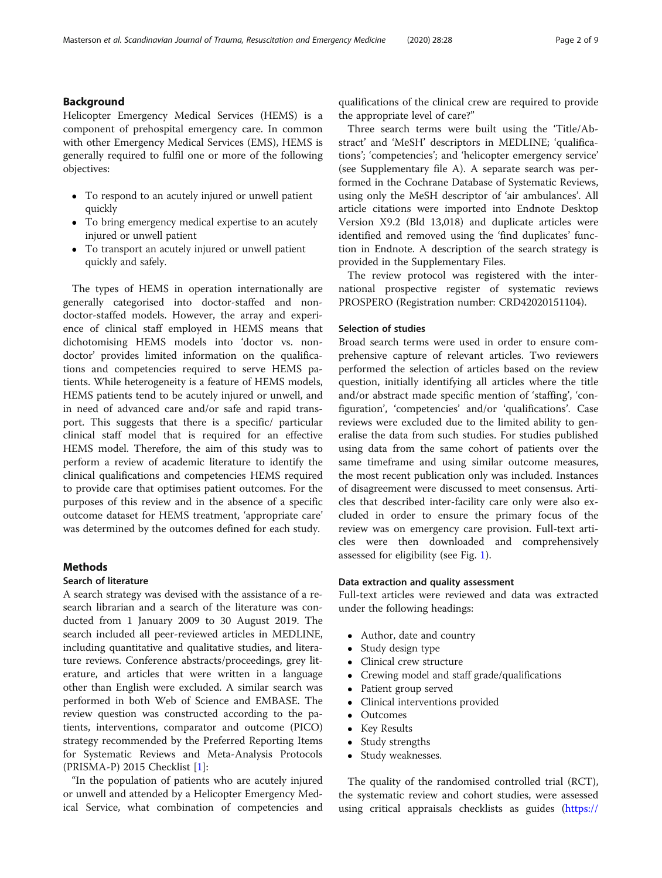## Background

Helicopter Emergency Medical Services (HEMS) is a component of prehospital emergency care. In common with other Emergency Medical Services (EMS), HEMS is generally required to fulfil one or more of the following objectives:

- To respond to an acutely injured or unwell patient quickly
- To bring emergency medical expertise to an acutely injured or unwell patient
- To transport an acutely injured or unwell patient quickly and safely.

The types of HEMS in operation internationally are generally categorised into doctor-staffed and nondoctor-staffed models. However, the array and experience of clinical staff employed in HEMS means that dichotomising HEMS models into 'doctor vs. nondoctor' provides limited information on the qualifications and competencies required to serve HEMS patients. While heterogeneity is a feature of HEMS models, HEMS patients tend to be acutely injured or unwell, and in need of advanced care and/or safe and rapid transport. This suggests that there is a specific/ particular clinical staff model that is required for an effective HEMS model. Therefore, the aim of this study was to perform a review of academic literature to identify the clinical qualifications and competencies HEMS required to provide care that optimises patient outcomes. For the purposes of this review and in the absence of a specific outcome dataset for HEMS treatment, 'appropriate care' was determined by the outcomes defined for each study.

#### Methods

#### Search of literature

A search strategy was devised with the assistance of a research librarian and a search of the literature was conducted from 1 January 2009 to 30 August 2019. The search included all peer-reviewed articles in MEDLINE, including quantitative and qualitative studies, and literature reviews. Conference abstracts/proceedings, grey literature, and articles that were written in a language other than English were excluded. A similar search was performed in both Web of Science and EMBASE. The review question was constructed according to the patients, interventions, comparator and outcome (PICO) strategy recommended by the Preferred Reporting Items for Systematic Reviews and Meta-Analysis Protocols (PRISMA-P) 2015 Checklist [\[1](#page-8-0)]:

"In the population of patients who are acutely injured or unwell and attended by a Helicopter Emergency Medical Service, what combination of competencies and qualifications of the clinical crew are required to provide the appropriate level of care?"

Three search terms were built using the 'Title/Abstract' and 'MeSH' descriptors in MEDLINE; 'qualifications'; 'competencies'; and 'helicopter emergency service' (see Supplementary file A). A separate search was performed in the Cochrane Database of Systematic Reviews, using only the MeSH descriptor of 'air ambulances'. All article citations were imported into Endnote Desktop Version X9.2 (Bld 13,018) and duplicate articles were identified and removed using the 'find duplicates' function in Endnote. A description of the search strategy is provided in the Supplementary Files.

The review protocol was registered with the international prospective register of systematic reviews PROSPERO (Registration number: CRD42020151104).

### Selection of studies

Broad search terms were used in order to ensure comprehensive capture of relevant articles. Two reviewers performed the selection of articles based on the review question, initially identifying all articles where the title and/or abstract made specific mention of 'staffing', 'configuration', 'competencies' and/or 'qualifications'. Case reviews were excluded due to the limited ability to generalise the data from such studies. For studies published using data from the same cohort of patients over the same timeframe and using similar outcome measures, the most recent publication only was included. Instances of disagreement were discussed to meet consensus. Articles that described inter-facility care only were also excluded in order to ensure the primary focus of the review was on emergency care provision. Full-text articles were then downloaded and comprehensively assessed for eligibility (see Fig. [1\)](#page-2-0).

#### Data extraction and quality assessment

Full-text articles were reviewed and data was extracted under the following headings:

- Author, date and country
- Study design type
- Clinical crew structure<br>• Crewing model and sta
- Crewing model and staff grade/qualifications
- Patient group served
- Clinical interventions provided
- Outcomes
- Key Results
- Study strengths
- Study weaknesses.

The quality of the randomised controlled trial (RCT), the systematic review and cohort studies, were assessed using critical appraisals checklists as guides ([https://](https://casp-uk.net/casp-tools-checklists/)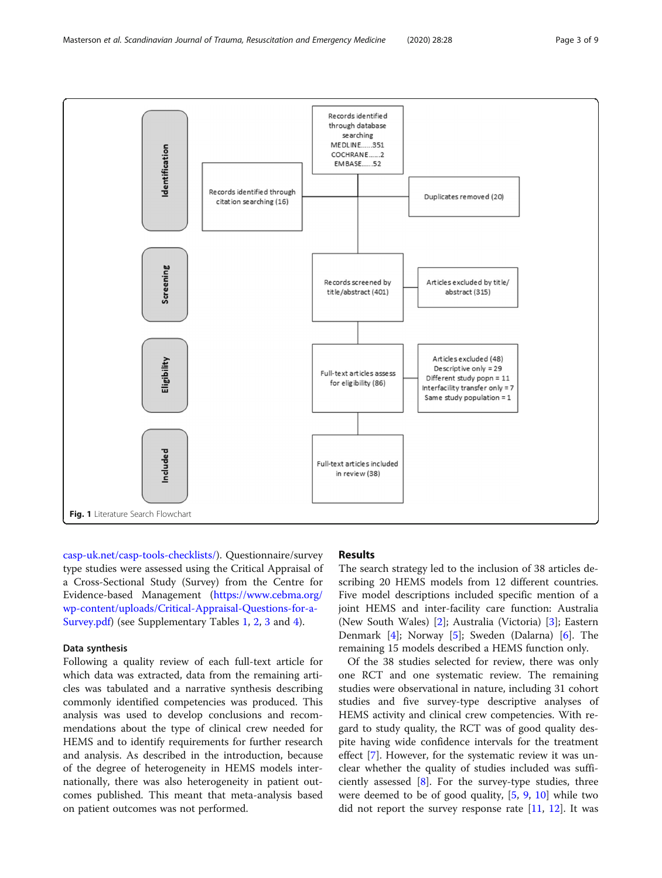<span id="page-2-0"></span>

[casp-uk.net/casp-tools-checklists/\)](https://casp-uk.net/casp-tools-checklists/). Questionnaire/survey type studies were assessed using the Critical Appraisal of a Cross-Sectional Study (Survey) from the Centre for Evidence-based Management [\(https://www.cebma.org/](https://www.cebma.org/wp-content/uploads/Critical-Appraisal-Questions-for-a-Survey.pdf) [wp-content/uploads/Critical-Appraisal-Questions-for-a-](https://www.cebma.org/wp-content/uploads/Critical-Appraisal-Questions-for-a-Survey.pdf)[Survey.pdf](https://www.cebma.org/wp-content/uploads/Critical-Appraisal-Questions-for-a-Survey.pdf)) (see Supplementary Tables [1](#page-7-0), [2](#page-7-0), [3](#page-7-0) and [4](#page-7-0)).

#### Data synthesis

Fig. 1 Literature Search Flowchart

Included

Following a quality review of each full-text article for which data was extracted, data from the remaining articles was tabulated and a narrative synthesis describing commonly identified competencies was produced. This analysis was used to develop conclusions and recommendations about the type of clinical crew needed for HEMS and to identify requirements for further research and analysis. As described in the introduction, because of the degree of heterogeneity in HEMS models internationally, there was also heterogeneity in patient outcomes published. This meant that meta-analysis based on patient outcomes was not performed.

## Results

Full-text articles included in review (38)

> The search strategy led to the inclusion of 38 articles describing 20 HEMS models from 12 different countries. Five model descriptions included specific mention of a joint HEMS and inter-facility care function: Australia (New South Wales) [\[2](#page-8-0)]; Australia (Victoria) [\[3](#page-8-0)]; Eastern Denmark [\[4](#page-8-0)]; Norway [[5](#page-8-0)]; Sweden (Dalarna) [[6\]](#page-8-0). The remaining 15 models described a HEMS function only.

> Of the 38 studies selected for review, there was only one RCT and one systematic review. The remaining studies were observational in nature, including 31 cohort studies and five survey-type descriptive analyses of HEMS activity and clinical crew competencies. With regard to study quality, the RCT was of good quality despite having wide confidence intervals for the treatment effect [\[7](#page-8-0)]. However, for the systematic review it was unclear whether the quality of studies included was sufficiently assessed [\[8](#page-8-0)]. For the survey-type studies, three were deemed to be of good quality, [\[5](#page-8-0), [9,](#page-8-0) [10](#page-8-0)] while two did not report the survey response rate  $[11, 12]$  $[11, 12]$  $[11, 12]$ . It was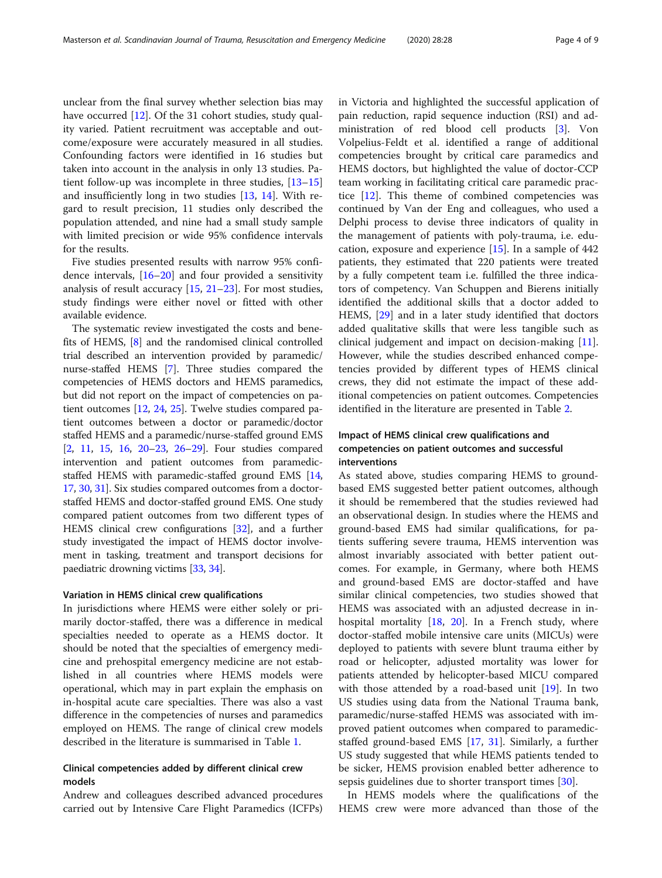unclear from the final survey whether selection bias may have occurred [[12\]](#page-8-0). Of the 31 cohort studies, study quality varied. Patient recruitment was acceptable and outcome/exposure were accurately measured in all studies. Confounding factors were identified in 16 studies but taken into account in the analysis in only 13 studies. Patient follow-up was incomplete in three studies, [[13](#page-8-0)–[15](#page-8-0)] and insufficiently long in two studies [\[13](#page-8-0), [14\]](#page-8-0). With regard to result precision, 11 studies only described the population attended, and nine had a small study sample with limited precision or wide 95% confidence intervals for the results.

Five studies presented results with narrow 95% confidence intervals, [[16](#page-8-0)–[20](#page-8-0)] and four provided a sensitivity analysis of result accuracy [\[15](#page-8-0), [21](#page-8-0)–[23](#page-8-0)]. For most studies, study findings were either novel or fitted with other available evidence.

The systematic review investigated the costs and benefits of HEMS, [\[8\]](#page-8-0) and the randomised clinical controlled trial described an intervention provided by paramedic/ nurse-staffed HEMS [\[7\]](#page-8-0). Three studies compared the competencies of HEMS doctors and HEMS paramedics, but did not report on the impact of competencies on patient outcomes [\[12,](#page-8-0) [24](#page-8-0), [25\]](#page-8-0). Twelve studies compared patient outcomes between a doctor or paramedic/doctor staffed HEMS and a paramedic/nurse-staffed ground EMS [[2,](#page-8-0) [11,](#page-8-0) [15](#page-8-0), [16,](#page-8-0) [20](#page-8-0)–[23](#page-8-0), [26](#page-8-0)–[29](#page-8-0)]. Four studies compared intervention and patient outcomes from paramedicstaffed HEMS with paramedic-staffed ground EMS [[14](#page-8-0), [17](#page-8-0), [30,](#page-8-0) [31](#page-8-0)]. Six studies compared outcomes from a doctorstaffed HEMS and doctor-staffed ground EMS. One study compared patient outcomes from two different types of HEMS clinical crew configurations [[32](#page-8-0)], and a further study investigated the impact of HEMS doctor involvement in tasking, treatment and transport decisions for paediatric drowning victims [[33](#page-8-0), [34\]](#page-8-0).

#### Variation in HEMS clinical crew qualifications

In jurisdictions where HEMS were either solely or primarily doctor-staffed, there was a difference in medical specialties needed to operate as a HEMS doctor. It should be noted that the specialties of emergency medicine and prehospital emergency medicine are not established in all countries where HEMS models were operational, which may in part explain the emphasis on in-hospital acute care specialties. There was also a vast difference in the competencies of nurses and paramedics employed on HEMS. The range of clinical crew models described in the literature is summarised in Table [1.](#page-4-0)

## Clinical competencies added by different clinical crew models

Andrew and colleagues described advanced procedures carried out by Intensive Care Flight Paramedics (ICFPs) in Victoria and highlighted the successful application of pain reduction, rapid sequence induction (RSI) and administration of red blood cell products [[3\]](#page-8-0). Von Volpelius-Feldt et al. identified a range of additional competencies brought by critical care paramedics and HEMS doctors, but highlighted the value of doctor-CCP team working in facilitating critical care paramedic practice  $[12]$  $[12]$ . This theme of combined competencies was continued by Van der Eng and colleagues, who used a Delphi process to devise three indicators of quality in the management of patients with poly-trauma, i.e. education, exposure and experience  $[15]$  $[15]$ . In a sample of 442 patients, they estimated that 220 patients were treated by a fully competent team i.e. fulfilled the three indicators of competency. Van Schuppen and Bierens initially identified the additional skills that a doctor added to HEMS, [\[29](#page-8-0)] and in a later study identified that doctors added qualitative skills that were less tangible such as clinical judgement and impact on decision-making [\[11](#page-8-0)]. However, while the studies described enhanced competencies provided by different types of HEMS clinical crews, they did not estimate the impact of these additional competencies on patient outcomes. Competencies identified in the literature are presented in Table [2.](#page-6-0)

## Impact of HEMS clinical crew qualifications and competencies on patient outcomes and successful interventions

As stated above, studies comparing HEMS to groundbased EMS suggested better patient outcomes, although it should be remembered that the studies reviewed had an observational design. In studies where the HEMS and ground-based EMS had similar qualifications, for patients suffering severe trauma, HEMS intervention was almost invariably associated with better patient outcomes. For example, in Germany, where both HEMS and ground-based EMS are doctor-staffed and have similar clinical competencies, two studies showed that HEMS was associated with an adjusted decrease in inhospital mortality  $[18, 20]$  $[18, 20]$  $[18, 20]$ . In a French study, where doctor-staffed mobile intensive care units (MICUs) were deployed to patients with severe blunt trauma either by road or helicopter, adjusted mortality was lower for patients attended by helicopter-based MICU compared with those attended by a road-based unit  $[19]$  $[19]$ . In two US studies using data from the National Trauma bank, paramedic/nurse-staffed HEMS was associated with improved patient outcomes when compared to paramedicstaffed ground-based EMS [\[17](#page-8-0), [31](#page-8-0)]. Similarly, a further US study suggested that while HEMS patients tended to be sicker, HEMS provision enabled better adherence to sepsis guidelines due to shorter transport times [[30\]](#page-8-0).

In HEMS models where the qualifications of the HEMS crew were more advanced than those of the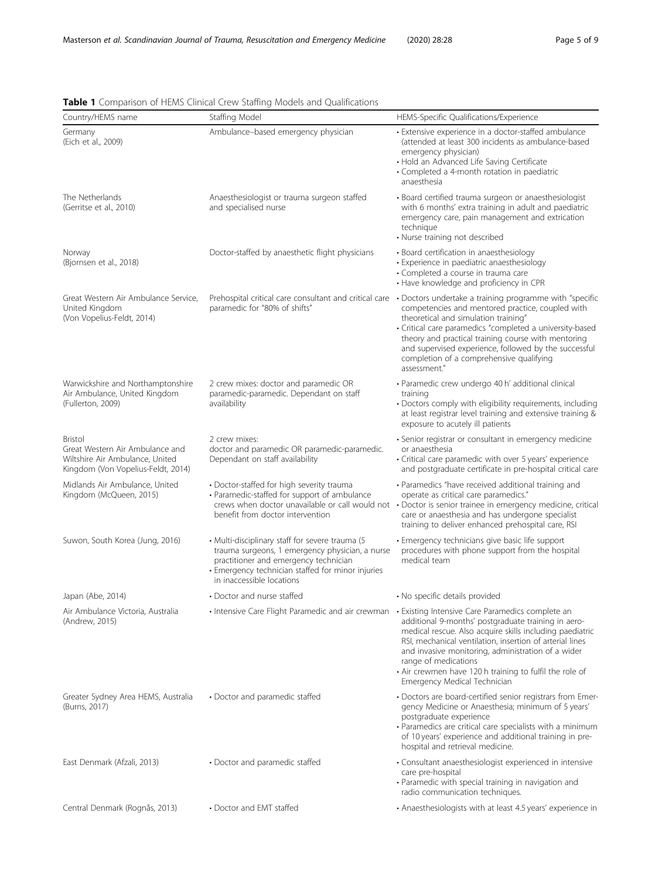| Country/HEMS name                                                                                                          | Staffing Model                                                                                                                                                                                                                | HEMS-Specific Qualifications/Experience                                                                                                                                                                                                                                                                                                                                                                                                            |
|----------------------------------------------------------------------------------------------------------------------------|-------------------------------------------------------------------------------------------------------------------------------------------------------------------------------------------------------------------------------|----------------------------------------------------------------------------------------------------------------------------------------------------------------------------------------------------------------------------------------------------------------------------------------------------------------------------------------------------------------------------------------------------------------------------------------------------|
| Germany<br>(Eich et al., 2009)                                                                                             | Ambulance-based emergency physician                                                                                                                                                                                           | · Extensive experience in a doctor-staffed ambulance<br>(attended at least 300 incidents as ambulance-based<br>emergency physician)<br>• Hold an Advanced Life Saving Certificate<br>• Completed a 4-month rotation in paediatric<br>anaesthesia                                                                                                                                                                                                   |
| The Netherlands<br>(Gerritse et al., 2010)                                                                                 | Anaesthesiologist or trauma surgeon staffed<br>and specialised nurse                                                                                                                                                          | · Board certified trauma surgeon or anaesthesiologist<br>with 6 months' extra training in adult and paediatric<br>emergency care, pain management and extrication<br>technique<br>· Nurse training not described                                                                                                                                                                                                                                   |
| Norway<br>(Bjornsen et al., 2018)                                                                                          | Doctor-staffed by anaesthetic flight physicians                                                                                                                                                                               | · Board certification in anaesthesiology<br>· Experience in paediatric anaesthesiology<br>• Completed a course in trauma care<br>• Have knowledge and proficiency in CPR                                                                                                                                                                                                                                                                           |
| Great Western Air Ambulance Service,<br>United Kingdom<br>(Von Vopelius-Feldt, 2014)                                       | paramedic for "80% of shifts"                                                                                                                                                                                                 | Prehospital critical care consultant and critical care • Doctors undertake a training programme with "specific<br>competencies and mentored practice, coupled with<br>theoretical and simulation training"<br>· Critical care paramedics "completed a university-based<br>theory and practical training course with mentoring<br>and supervised experience, followed by the successful<br>completion of a comprehensive qualifying<br>assessment." |
| Warwickshire and Northamptonshire<br>Air Ambulance, United Kingdom<br>(Fullerton, 2009)                                    | 2 crew mixes: doctor and paramedic OR<br>paramedic-paramedic. Dependant on staff<br>availability                                                                                                                              | · Paramedic crew undergo 40 h' additional clinical<br>training<br>• Doctors comply with eligibility requirements, including<br>at least registrar level training and extensive training &<br>exposure to acutely ill patients                                                                                                                                                                                                                      |
| <b>Bristol</b><br>Great Western Air Ambulance and<br>Wiltshire Air Ambulance, United<br>Kingdom (Von Vopelius-Feldt, 2014) | 2 crew mixes:<br>doctor and paramedic OR paramedic-paramedic.<br>Dependant on staff availability                                                                                                                              | · Senior registrar or consultant in emergency medicine<br>or anaesthesia<br>· Critical care paramedic with over 5 years' experience<br>and postgraduate certificate in pre-hospital critical care                                                                                                                                                                                                                                                  |
| Midlands Air Ambulance, United<br>Kingdom (McQueen, 2015)                                                                  | • Doctor-staffed for high severity trauma<br>• Paramedic-staffed for support of ambulance<br>benefit from doctor intervention                                                                                                 | • Paramedics "have received additional training and<br>operate as critical care paramedics."<br>crews when doctor unavailable or call would not · Doctor is senior trainee in emergency medicine, critical<br>care or anaesthesia and has undergone specialist<br>training to deliver enhanced prehospital care, RSI                                                                                                                               |
| Suwon, South Korea (Jung, 2016)                                                                                            | • Multi-disciplinary staff for severe trauma (5<br>trauma surgeons, 1 emergency physician, a nurse<br>practitioner and emergency technician<br>· Emergency technician staffed for minor injuries<br>in inaccessible locations | · Emergency technicians give basic life support<br>procedures with phone support from the hospital<br>medical team                                                                                                                                                                                                                                                                                                                                 |
| Japan (Abe, 2014)                                                                                                          | • Doctor and nurse staffed                                                                                                                                                                                                    | · No specific details provided                                                                                                                                                                                                                                                                                                                                                                                                                     |
| Air Ambulance Victoria, Australia<br>(Andrew, 2015)                                                                        | • Intensive Care Flight Paramedic and air crewman • Existing Intensive Care Paramedics complete an                                                                                                                            | additional 9-months' postgraduate training in aero-<br>medical rescue. Also acquire skills including paediatric<br>RSI, mechanical ventilation, insertion of arterial lines<br>and invasive monitoring, administration of a wider<br>range of medications<br>• Air crewmen have 120 h training to fulfil the role of<br>Emergency Medical Technician                                                                                               |
| Greater Sydney Area HEMS, Australia<br>(Burns, 2017)                                                                       | • Doctor and paramedic staffed                                                                                                                                                                                                | • Doctors are board-certified senior registrars from Emer-<br>gency Medicine or Anaesthesia; minimum of 5 years'<br>postgraduate experience<br>• Paramedics are critical care specialists with a minimum<br>of 10 years' experience and additional training in pre-<br>hospital and retrieval medicine.                                                                                                                                            |
| East Denmark (Afzali, 2013)                                                                                                | • Doctor and paramedic staffed                                                                                                                                                                                                | • Consultant anaesthesiologist experienced in intensive<br>care pre-hospital<br>• Paramedic with special training in navigation and<br>radio communication techniques.                                                                                                                                                                                                                                                                             |
| Central Denmark (Rognås, 2013)                                                                                             | • Doctor and EMT staffed                                                                                                                                                                                                      | • Anaesthesiologists with at least 4.5 years' experience in                                                                                                                                                                                                                                                                                                                                                                                        |

## <span id="page-4-0"></span>Table 1 Comparison of HEMS Clinical Crew Staffing Models and Qualifications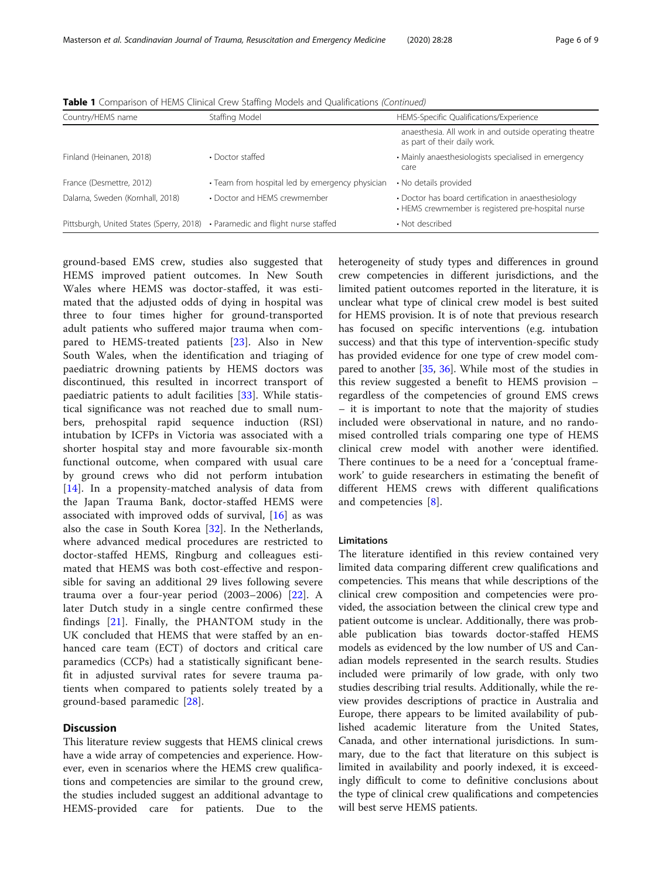| Country/HEMS name                                                             | Staffing Model                                  | HEMS-Specific Qualifications/Experience                                                                   |
|-------------------------------------------------------------------------------|-------------------------------------------------|-----------------------------------------------------------------------------------------------------------|
|                                                                               |                                                 | anaesthesia. All work in and outside operating theatre<br>as part of their daily work.                    |
| Finland (Heinanen, 2018)                                                      | • Doctor staffed                                | • Mainly anaesthesiologists specialised in emergency<br>care                                              |
| France (Desmettre, 2012)                                                      | • Team from hospital led by emergency physician | • No details provided                                                                                     |
| Dalarna, Sweden (Kornhall, 2018)                                              | • Doctor and HEMS crewmember                    | • Doctor has board certification in anaesthesiology<br>• HEMS crewmember is registered pre-hospital nurse |
| Pittsburgh, United States (Sperry, 2018) • Paramedic and flight nurse staffed |                                                 | • Not described                                                                                           |

Table 1 Comparison of HEMS Clinical Crew Staffing Models and Qualifications (Continued)

ground-based EMS crew, studies also suggested that HEMS improved patient outcomes. In New South Wales where HEMS was doctor-staffed, it was estimated that the adjusted odds of dying in hospital was three to four times higher for ground-transported adult patients who suffered major trauma when compared to HEMS-treated patients [\[23](#page-8-0)]. Also in New South Wales, when the identification and triaging of paediatric drowning patients by HEMS doctors was discontinued, this resulted in incorrect transport of paediatric patients to adult facilities [[33\]](#page-8-0). While statistical significance was not reached due to small numbers, prehospital rapid sequence induction (RSI) intubation by ICFPs in Victoria was associated with a shorter hospital stay and more favourable six-month functional outcome, when compared with usual care by ground crews who did not perform intubation [[14\]](#page-8-0). In a propensity-matched analysis of data from the Japan Trauma Bank, doctor-staffed HEMS were associated with improved odds of survival, [[16\]](#page-8-0) as was also the case in South Korea [[32\]](#page-8-0). In the Netherlands, where advanced medical procedures are restricted to doctor-staffed HEMS, Ringburg and colleagues estimated that HEMS was both cost-effective and responsible for saving an additional 29 lives following severe trauma over a four-year period (2003–2006) [[22\]](#page-8-0). A later Dutch study in a single centre confirmed these findings [\[21](#page-8-0)]. Finally, the PHANTOM study in the UK concluded that HEMS that were staffed by an enhanced care team (ECT) of doctors and critical care paramedics (CCPs) had a statistically significant benefit in adjusted survival rates for severe trauma patients when compared to patients solely treated by a ground-based paramedic [[28](#page-8-0)].

## **Discussion**

This literature review suggests that HEMS clinical crews have a wide array of competencies and experience. However, even in scenarios where the HEMS crew qualifications and competencies are similar to the ground crew, the studies included suggest an additional advantage to HEMS-provided care for patients. Due to the heterogeneity of study types and differences in ground crew competencies in different jurisdictions, and the limited patient outcomes reported in the literature, it is unclear what type of clinical crew model is best suited for HEMS provision. It is of note that previous research has focused on specific interventions (e.g. intubation success) and that this type of intervention-specific study has provided evidence for one type of crew model compared to another [\[35,](#page-8-0) [36](#page-8-0)]. While most of the studies in this review suggested a benefit to HEMS provision – regardless of the competencies of ground EMS crews – it is important to note that the majority of studies included were observational in nature, and no randomised controlled trials comparing one type of HEMS clinical crew model with another were identified. There continues to be a need for a 'conceptual framework' to guide researchers in estimating the benefit of different HEMS crews with different qualifications and competencies [[8\]](#page-8-0).

#### Limitations

The literature identified in this review contained very limited data comparing different crew qualifications and competencies. This means that while descriptions of the clinical crew composition and competencies were provided, the association between the clinical crew type and patient outcome is unclear. Additionally, there was probable publication bias towards doctor-staffed HEMS models as evidenced by the low number of US and Canadian models represented in the search results. Studies included were primarily of low grade, with only two studies describing trial results. Additionally, while the review provides descriptions of practice in Australia and Europe, there appears to be limited availability of published academic literature from the United States, Canada, and other international jurisdictions. In summary, due to the fact that literature on this subject is limited in availability and poorly indexed, it is exceedingly difficult to come to definitive conclusions about the type of clinical crew qualifications and competencies will best serve HEMS patients.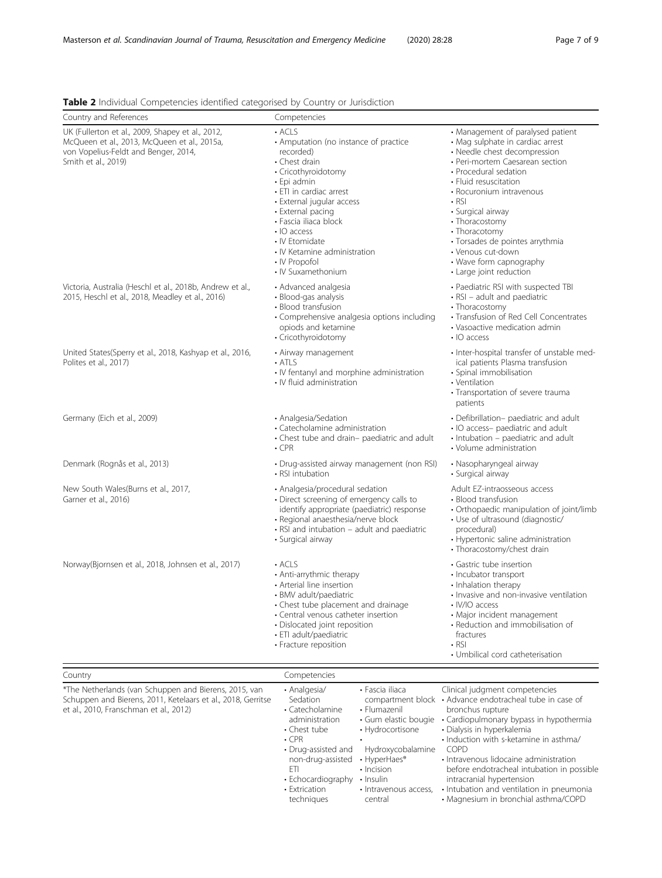| <b>TWICE</b> INDIVIDUAL COMPLEMENTS REMEMBED CALCOONSCO DY COUNTY OF SUITSCIENT                                                                                 |                                                                                                                                                                                                                                                                                                                                                                                                      |                                                                                                                                                                                                                                                                                                                                                                                                                                                            |
|-----------------------------------------------------------------------------------------------------------------------------------------------------------------|------------------------------------------------------------------------------------------------------------------------------------------------------------------------------------------------------------------------------------------------------------------------------------------------------------------------------------------------------------------------------------------------------|------------------------------------------------------------------------------------------------------------------------------------------------------------------------------------------------------------------------------------------------------------------------------------------------------------------------------------------------------------------------------------------------------------------------------------------------------------|
| Country and References                                                                                                                                          | Competencies                                                                                                                                                                                                                                                                                                                                                                                         |                                                                                                                                                                                                                                                                                                                                                                                                                                                            |
| UK (Fullerton et al., 2009, Shapey et al., 2012,<br>McQueen et al., 2013, McQueen et al., 2015a,<br>von Vopelius-Feldt and Benger, 2014,<br>Smith et al., 2019) | $\cdot$ ACLS<br>• Amputation (no instance of practice<br>recorded)<br>• Chest drain<br>• Cricothyroidotomy<br>• Epi admin<br>• ETI in cardiac arrest<br>• External jugular access<br>• External pacing<br>• Fascia iliaca block<br>$\cdot$ IO access<br>• IV Etomidate<br>• IV Ketamine administration<br>• IV Propofol<br>• IV Suxamethonium                                                        | • Management of paralysed patient<br>• Mag sulphate in cardiac arrest<br>• Needle chest decompression<br>• Peri-mortem Caesarean section<br>• Procedural sedation<br>• Fluid resuscitation<br>• Rocuronium intravenous<br>$\cdot$ RSI<br>· Surgical airway<br>• Thoracostomy<br>• Thoracotomy<br>· Torsades de pointes arrythmia<br>• Venous cut-down<br>• Wave form capnography<br>• Large joint reduction                                                |
| Victoria, Australia (Heschl et al., 2018b, Andrew et al.,<br>2015, Heschl et al., 2018, Meadley et al., 2016)                                                   | • Advanced analgesia<br>· Blood-gas analysis<br>• Blood transfusion<br>· Comprehensive analgesia options including<br>opiods and ketamine<br>· Cricothyroidotomy                                                                                                                                                                                                                                     | • Paediatric RSI with suspected TBI<br>· RSI - adult and paediatric<br>• Thoracostomy<br>• Transfusion of Red Cell Concentrates<br>• Vasoactive medication admin<br>$\cdot$ IO access                                                                                                                                                                                                                                                                      |
| United States(Sperry et al., 2018, Kashyap et al., 2016,<br>Polites et al., 2017)                                                                               | • Airway management<br>$\cdot$ ATLS<br>• IV fentanyl and morphine administration<br>• IV fluid administration                                                                                                                                                                                                                                                                                        | · Inter-hospital transfer of unstable med-<br>ical patients Plasma transfusion<br>· Spinal immobilisation<br>• Ventilation<br>• Transportation of severe trauma<br>patients                                                                                                                                                                                                                                                                                |
| Germany (Eich et al., 2009)                                                                                                                                     | • Analgesia/Sedation<br>· Catecholamine administration<br>• Chest tube and drain- paediatric and adult<br>$\cdot$ CPR                                                                                                                                                                                                                                                                                | · Defibrillation- paediatric and adult<br>· IO access- paediatric and adult<br>· Intubation - paediatric and adult<br>• Volume administration                                                                                                                                                                                                                                                                                                              |
| Denmark (Rognås et al., 2013)                                                                                                                                   | • Drug-assisted airway management (non RSI)<br>• RSI intubation                                                                                                                                                                                                                                                                                                                                      | · Nasopharyngeal airway<br>· Surgical airway                                                                                                                                                                                                                                                                                                                                                                                                               |
| New South Wales(Burns et al., 2017,<br>Garner et al., 2016)                                                                                                     | • Analgesia/procedural sedation<br>• Direct screening of emergency calls to<br>identify appropriate (paediatric) response<br>• Regional anaesthesia/nerve block<br>$\cdot$ RSI and intubation – adult and paediatric<br>· Surgical airway                                                                                                                                                            | Adult EZ-intraosseous access<br>• Blood transfusion<br>• Orthopaedic manipulation of joint/limb<br>• Use of ultrasound (diagnostic/<br>procedural)<br>• Hypertonic saline administration<br>• Thoracostomy/chest drain                                                                                                                                                                                                                                     |
| Norway(Bjornsen et al., 2018, Johnsen et al., 2017)                                                                                                             | $\cdot$ ACLS<br>• Anti-arrythmic therapy<br>• Arterial line insertion<br>• BMV adult/paediatric<br>• Chest tube placement and drainage<br>• Central venous catheter insertion<br>• Dislocated joint reposition<br>· ETI adult/paediatric<br>• Fracture reposition                                                                                                                                    | • Gastric tube insertion<br>• Incubator transport<br>• Inhalation therapy<br>• Invasive and non-invasive ventilation<br>• IV/IO access<br>• Major incident management<br>• Reduction and immobilisation of<br>fractures<br>$\cdot$ RSI<br>• Umbilical cord catheterisation                                                                                                                                                                                 |
| Country                                                                                                                                                         | Competencies                                                                                                                                                                                                                                                                                                                                                                                         |                                                                                                                                                                                                                                                                                                                                                                                                                                                            |
| *The Netherlands (van Schuppen and Bierens, 2015, van<br>Schuppen and Bierens, 2011, Ketelaars et al., 2018, Gerritse<br>et al., 2010, Franschman et al., 2012) | · Fascia iliaca<br>• Analgesia/<br>Sedation<br>• Catecholamine<br>• Flumazenil<br>administration<br>• Gum elastic bougie<br>• Chest tube<br>• Hydrocortisone<br>$\cdot$ CPR<br>$\bullet$<br>• Drug-assisted and<br>Hydroxycobalamine<br>• HyperHaes®<br>non-drug-assisted<br>· Incision<br>ETI<br>• Echocardiography<br>• Insulin<br>• Extrication<br>· Intravenous access,<br>techniques<br>central | Clinical judgment competencies<br>compartment block • Advance endotracheal tube in case of<br>bronchus rupture<br>• Cardiopulmonary bypass in hypothermia<br>· Dialysis in hyperkalemia<br>· Induction with s-ketamine in asthma/<br><b>COPD</b><br>· Intravenous lidocaine administration<br>before endotracheal intubation in possible<br>intracranial hypertension<br>· Intubation and ventilation in pneumonia<br>· Magnesium in bronchial asthma/COPD |

## <span id="page-6-0"></span>Table 2 Individual Competencies identified categorised by Country or Jurisdiction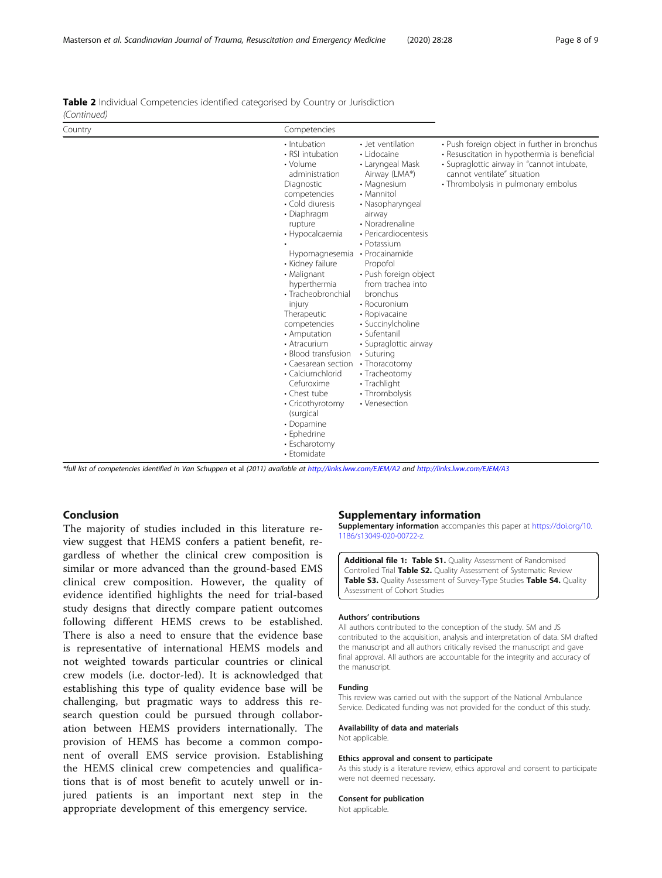| $\sqrt{2}$ |                                                                                                                                                                                                                                                                                                                                                                                                                                                                                                                                                                                                                                                                                                                                                                                                                                                                                                                               |                                                                                                                                                                                                                                                                                                                 |
|------------|-------------------------------------------------------------------------------------------------------------------------------------------------------------------------------------------------------------------------------------------------------------------------------------------------------------------------------------------------------------------------------------------------------------------------------------------------------------------------------------------------------------------------------------------------------------------------------------------------------------------------------------------------------------------------------------------------------------------------------------------------------------------------------------------------------------------------------------------------------------------------------------------------------------------------------|-----------------------------------------------------------------------------------------------------------------------------------------------------------------------------------------------------------------------------------------------------------------------------------------------------------------|
| Country    | Competencies                                                                                                                                                                                                                                                                                                                                                                                                                                                                                                                                                                                                                                                                                                                                                                                                                                                                                                                  |                                                                                                                                                                                                                                                                                                                 |
|            | · Intubation<br>• Jet ventilation<br>• RSI intubation<br>· Lidocaine<br>• Volume<br>• Laryngeal Mask<br>administration<br>Airway (LMA®)<br>• Magnesium<br>Diagnostic<br>• Mannitol<br>competencies<br>• Cold diuresis<br>• Nasopharyngeal<br>• Diaphragm<br>airway<br>• Noradrenaline<br>rupture<br>• Hypocalcaemia<br>• Potassium<br>• Procainamide<br>Hypomagnesemia<br>• Kidney failure<br>Propofol<br>• Malignant<br>hyperthermia<br>· Tracheobronchial<br>bronchus<br>• Rocuronium<br>injury<br>• Ropivacaine<br>Therapeutic<br>· Succinylcholine<br>competencies<br>· Sufentanil<br>• Amputation<br>• Atracurium<br>• Blood transfusion<br>• Suturing<br>• Thoracotomy<br>• Caesarean section<br>• Calciumchlorid<br>• Tracheotomy<br>Cefuroxime<br>$\cdot$ Trachlight<br>• Chest tube<br>• Thrombolysis<br>• Venesection<br>• Cricothyrotomy<br>(surgical<br>• Dopamine<br>• Ephedrine<br>• Escharotomy<br>• Etomidate | • Push foreign object in further in bronchus<br>• Resuscitation in hypothermia is beneficial<br>· Supraglottic airway in "cannot intubate,<br>cannot ventilate" situation<br>• Thrombolysis in pulmonary embolus<br>• Pericardiocentesis<br>• Push foreign object<br>from trachea into<br>• Supraglottic airway |

<span id="page-7-0"></span>Table 2 Individual Competencies identified categorised by Country or Jurisdiction  $(C$ ontinued)

\*full list of competencies identified in Van Schuppen et al (2011) available at <http://links.lww.com/EJEM/A2> and <http://links.lww.com/EJEM/A3>

## Conclusion

The majority of studies included in this literature review suggest that HEMS confers a patient benefit, regardless of whether the clinical crew composition is similar or more advanced than the ground-based EMS clinical crew composition. However, the quality of evidence identified highlights the need for trial-based study designs that directly compare patient outcomes following different HEMS crews to be established. There is also a need to ensure that the evidence base is representative of international HEMS models and not weighted towards particular countries or clinical crew models (i.e. doctor-led). It is acknowledged that establishing this type of quality evidence base will be challenging, but pragmatic ways to address this research question could be pursued through collaboration between HEMS providers internationally. The provision of HEMS has become a common component of overall EMS service provision. Establishing the HEMS clinical crew competencies and qualifications that is of most benefit to acutely unwell or injured patients is an important next step in the appropriate development of this emergency service.

#### Supplementary information

Supplementary information accompanies this paper at [https://doi.org/10.](https://doi.org/10.1186/s13049-020-00722-z) [1186/s13049-020-00722-z.](https://doi.org/10.1186/s13049-020-00722-z)

Additional file 1: Table S1. Quality Assessment of Randomised Controlled Trial Table S2. Quality Assessment of Systematic Review Table S3. Quality Assessment of Survey-Type Studies Table S4. Quality Assessment of Cohort Studies

#### Authors' contributions

All authors contributed to the conception of the study. SM and JS contributed to the acquisition, analysis and interpretation of data. SM drafted the manuscript and all authors critically revised the manuscript and gave final approval. All authors are accountable for the integrity and accuracy of the manuscript.

#### Funding

This review was carried out with the support of the National Ambulance Service. Dedicated funding was not provided for the conduct of this study.

#### Availability of data and materials

Not applicable.

#### Ethics approval and consent to participate

As this study is a literature review, ethics approval and consent to participate were not deemed necessary.

#### Consent for publication

Not applicable.